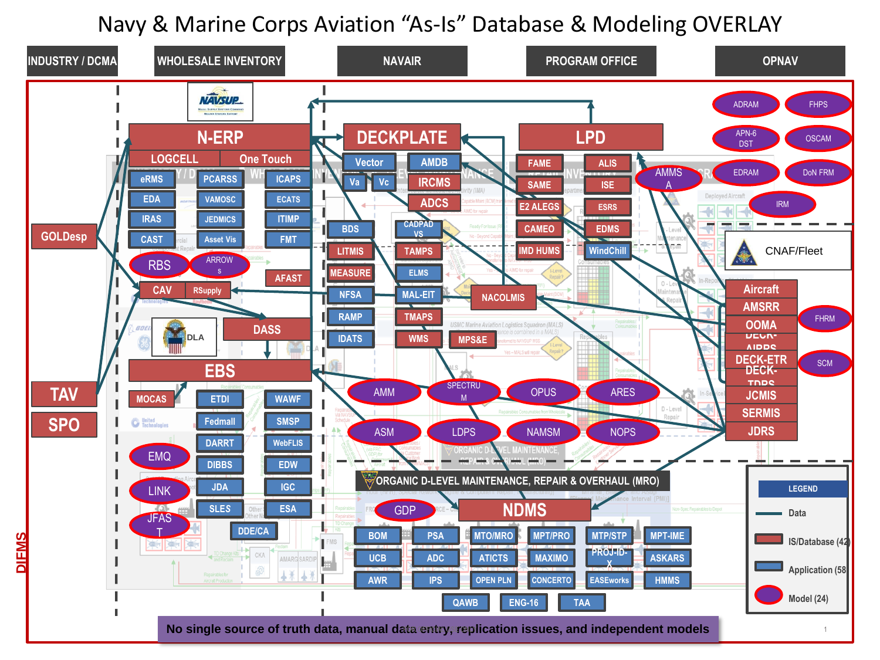## Navy & Marine Corps Aviation "As-Is" Database & Modeling OVERLAY

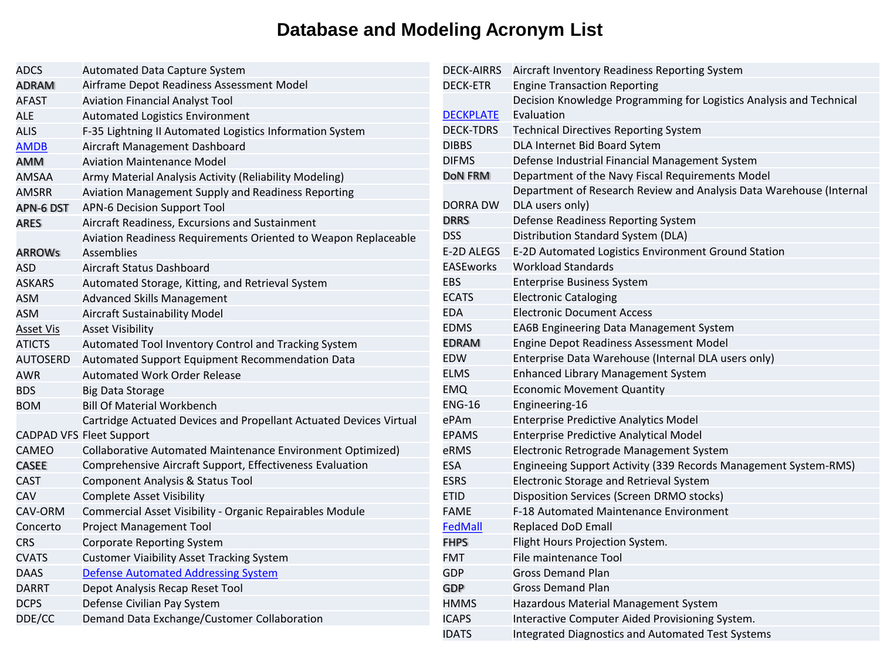## **Database and Modeling Acronym List**

| ADCS          | <b>Automated Data Capture System</b>                               |
|---------------|--------------------------------------------------------------------|
| ADRAM         | Airframe Depot Readiness Assessment Model                          |
| AFAST         | <b>Aviation Financial Analyst Tool</b>                             |
| ALE           | <b>Automated Logistics Environment</b>                             |
| ALIS          | F-35 Lightning II Automated Logistics Information System           |
| <b>AMDB</b>   | Aircraft Management Dashboard                                      |
| AMM           | <b>Aviation Maintenance Model</b>                                  |
| AMSAA         | Army Material Analysis Activity (Reliability Modeling)             |
| AMSRR         | Aviation Management Supply and Readiness Reporting                 |
| APN-6 DST     | <b>APN-6 Decision Support Tool</b>                                 |
| ARES          | Aircraft Readiness, Excursions and Sustainment                     |
|               | Aviation Readiness Requirements Oriented to Weapon Replaceable     |
| <b>ARROWs</b> | Assemblies                                                         |
| ASD           | Aircraft Status Dashboard                                          |
| <b>ASKARS</b> | Automated Storage, Kitting, and Retrieval System                   |
| ASM           | <b>Advanced Skills Management</b>                                  |
| ASM           | Aircraft Sustainability Model                                      |
| Asset Vis     | <b>Asset Visibility</b>                                            |
| ATICTS        | Automated Tool Inventory Control and Tracking System               |
| AUTOSERD      | Automated Support Equipment Recommendation Data                    |
| AWR           | Automated Work Order Release                                       |
| BDS           | Big Data Storage                                                   |
| BOM           | <b>Bill Of Material Workbench</b>                                  |
|               | Cartridge Actuated Devices and Propellant Actuated Devices Virtual |
|               | <b>CADPAD VFS Fleet Support</b>                                    |
| CAMEO         | Collaborative Automated Maintenance Environment Optimized)         |
| CASEE         | Comprehensive Aircraft Support, Effectiveness Evaluation           |
| CAST          | Component Analysis & Status Tool                                   |
| CAV           | <b>Complete Asset Visibility</b>                                   |
| CAV-ORM       | Commercial Asset Visibility - Organic Repairables Module           |
| Concerto      | Project Management Tool                                            |
| CRS           | <b>Corporate Reporting System</b>                                  |
| CVATS         | <b>Customer Viaibility Asset Tracking System</b>                   |
| <b>DAAS</b>   | <b>Defense Automated Addressing System</b>                         |
| DARRT         | Depot Analysis Recap Reset Tool                                    |
| <b>DCPS</b>   | Defense Civilian Pay System                                        |
| DDE/CC        | Demand Data Exchange/Customer Collaboration                        |
|               |                                                                    |

| <b>DECK-AIRRS</b> | Aircraft Inventory Readiness Reporting System                       |
|-------------------|---------------------------------------------------------------------|
| <b>DECK-ETR</b>   | <b>Engine Transaction Reporting</b>                                 |
|                   | Decision Knowledge Programming for Logistics Analysis and Technical |
| <b>DECKPLATE</b>  | Evaluation                                                          |
| <b>DECK-TDRS</b>  | <b>Technical Directives Reporting System</b>                        |
| <b>DIBBS</b>      | DLA Internet Bid Board Sytem                                        |
| <b>DIFMS</b>      | Defense Industrial Financial Management System                      |
| DoN FRM           | Department of the Navy Fiscal Requirements Model                    |
|                   | Department of Research Review and Analysis Data Warehouse (Internal |
| DORRA DW          | DLA users only)                                                     |
| <b>DRRS</b>       | Defense Readiness Reporting System                                  |
| <b>DSS</b>        | Distribution Standard System (DLA)                                  |
| E-2D ALEGS        | E-2D Automated Logistics Environment Ground Station                 |
| <b>EASEworks</b>  | <b>Workload Standards</b>                                           |
| EBS               | <b>Enterprise Business System</b>                                   |
| <b>ECATS</b>      | <b>Electronic Cataloging</b>                                        |
| <b>EDA</b>        | <b>Electronic Document Access</b>                                   |
| EDMS              | EA6B Engineering Data Management System                             |
| <b>EDRAM</b>      | Engine Depot Readiness Assessment Model                             |
| EDW               | Enterprise Data Warehouse (Internal DLA users only)                 |
| <b>ELMS</b>       | <b>Enhanced Library Management System</b>                           |
| EMQ               | <b>Economic Movement Quantity</b>                                   |
| <b>ENG-16</b>     | Engineering-16                                                      |
| ePAm              | <b>Enterprise Predictive Analytics Model</b>                        |
| <b>EPAMS</b>      | <b>Enterprise Predictive Analytical Model</b>                       |
| eRMS              | Electronic Retrograde Management System                             |
| <b>ESA</b>        | Engineeing Support Activity (339 Records Management System-RMS)     |
| <b>ESRS</b>       | Electronic Storage and Retrieval System                             |
| ETID              | Disposition Services (Screen DRMO stocks)                           |
| <b>FAME</b>       | <b>F-18 Automated Maintenance Environment</b>                       |
| FedMall           | <b>Replaced DoD Emall</b>                                           |
| <b>FHPS</b>       | Flight Hours Projection System.                                     |
| FMT               | File maintenance Tool                                               |
| GDP               | <b>Gross Demand Plan</b>                                            |
| GDP               | <b>Gross Demand Plan</b>                                            |
| HMMS              | Hazardous Material Management System                                |
| <b>ICAPS</b>      | Interactive Computer Aided Provisioning System.                     |
| <b>IDATS</b>      | <b>Integrated Diagnostics and Automated Test Systems</b>            |